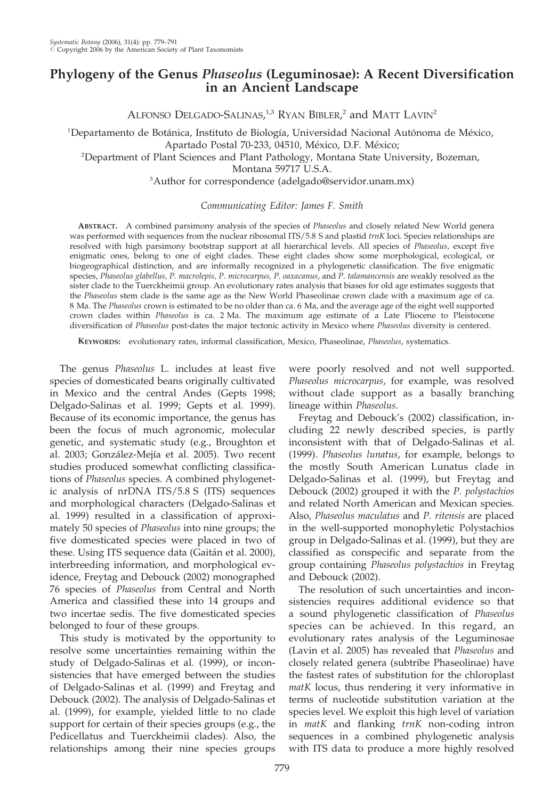# Phylogeny of the Genus Phaseolus (Leguminosae): A Recent Diversification in an Ancient Landscape

ALFONSO DELGADO-SALINAS,<sup>1,3</sup> RYAN BIBLER,<sup>2</sup> and MATT LAVIN<sup>2</sup>

<sup>1</sup>Departamento de Botánica, Instituto de Biología, Universidad Nacional Autónoma de México, Apartado Postal 70-233, 04510, México, D.F. México;

<sup>2</sup>Department of Plant Sciences and Plant Pathology, Montana State University, Bozeman,

Montana 59717 U.S.A.

<sup>3</sup>Author for correspondence (adelgado@servidor.unam.mx)

Communicating Editor: James F. Smith

ABSTRACT. A combined parsimony analysis of the species of Phaseolus and closely related New World genera was performed with sequences from the nuclear ribosomal ITS/5.8 S and plastid trnK loci. Species relationships are resolved with high parsimony bootstrap support at all hierarchical levels. All species of Phaseolus, except five enigmatic ones, belong to one of eight clades. These eight clades show some morphological, ecological, or biogeographical distinction, and are informally recognized in a phylogenetic classification. The five enigmatic species, Phaseolus glabellus, P. macrolepis, P. microcarpus, P. oaxacanus, and P. talamancensis are weakly resolved as the sister clade to the Tuerckheimii group. An evolutionary rates analysis that biases for old age estimates suggests that the Phaseolus stem clade is the same age as the New World Phaseolinae crown clade with a maximum age of ca. 8 Ma. The Phaseolus crown is estimated to be no older than ca. 6 Ma, and the average age of the eight well supported crown clades within Phaseolus is ca. 2 Ma. The maximum age estimate of a Late Pliocene to Pleistocene diversification of Phaseolus post-dates the major tectonic activity in Mexico where Phaseolus diversity is centered.

KEYWORDS: evolutionary rates, informal classification, Mexico, Phaseolinae, Phaseolus, systematics.

The genus Phaseolus L. includes at least five species of domesticated beans originally cultivated in Mexico and the central Andes (Gepts 1998; Delgado-Salinas et al. 1999; Gepts et al. 1999). Because of its economic importance, the genus has been the focus of much agronomic, molecular genetic, and systematic study (e.g., Broughton et al. 2003; González-Mejía et al. 2005). Two recent studies produced somewhat conflicting classifications of *Phaseolus* species. A combined phylogenetic analysis of nrDNA ITS/5.8 S (ITS) sequences and morphological characters (Delgado-Salinas et al. 1999) resulted in a classification of approximately 50 species of Phaseolus into nine groups; the five domesticated species were placed in two of these. Using ITS sequence data (Gaitán et al. 2000), interbreeding information, and morphological evidence, Freytag and Debouck (2002) monographed 76 species of Phaseolus from Central and North America and classified these into 14 groups and two incertae sedis. The five domesticated species belonged to four of these groups.

This study is motivated by the opportunity to resolve some uncertainties remaining within the study of Delgado-Salinas et al. (1999), or inconsistencies that have emerged between the studies of Delgado-Salinas et al. (1999) and Freytag and Debouck (2002). The analysis of Delgado-Salinas et al. (1999), for example, yielded little to no clade support for certain of their species groups (e.g., the Pedicellatus and Tuerckheimii clades). Also, the relationships among their nine species groups were poorly resolved and not well supported. Phaseolus microcarpus, for example, was resolved without clade support as a basally branching lineage within Phaseolus.

Freytag and Debouck's (2002) classification, including 22 newly described species, is partly inconsistent with that of Delgado-Salinas et al. (1999). Phaseolus lunatus, for example, belongs to the mostly South American Lunatus clade in Delgado-Salinas et al. (1999), but Freytag and Debouck (2002) grouped it with the P. polystachios and related North American and Mexican species. Also, Phaseolus maculatus and P. ritensis are placed in the well-supported monophyletic Polystachios group in Delgado-Salinas et al. (1999), but they are classified as conspecific and separate from the group containing Phaseolus polystachios in Freytag and Debouck (2002).

The resolution of such uncertainties and inconsistencies requires additional evidence so that a sound phylogenetic classification of Phaseolus species can be achieved. In this regard, an evolutionary rates analysis of the Leguminosae (Lavin et al. 2005) has revealed that Phaseolus and closely related genera (subtribe Phaseolinae) have the fastest rates of substitution for the chloroplast matK locus, thus rendering it very informative in terms of nucleotide substitution variation at the species level. We exploit this high level of variation in matK and flanking trnK non-coding intron sequences in a combined phylogenetic analysis with ITS data to produce a more highly resolved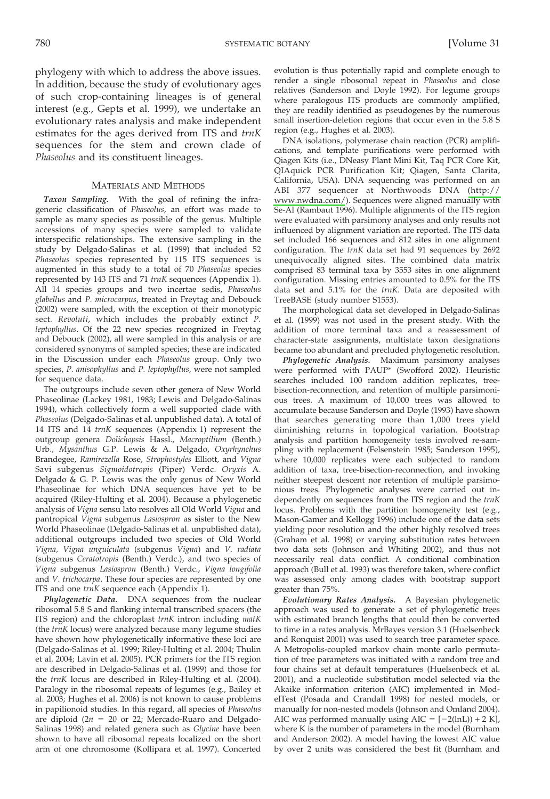phylogeny with which to address the above issues. In addition, because the study of evolutionary ages of such crop-containing lineages is of general interest (e.g., Gepts et al. 1999), we undertake an evolutionary rates analysis and make independent estimates for the ages derived from ITS and trnK sequences for the stem and crown clade of Phaseolus and its constituent lineages.

## **MATERIALS AND METHODS**

Taxon Sampling. With the goal of refining the infrageneric classification of Phaseolus, an effort was made to sample as many species as possible of the genus. Multiple accessions of many species were sampled to validate interspecific relationships. The extensive sampling in the study by Delgado-Salinas et al. (1999) that included 52 Phaseolus species represented by 115 ITS sequences is augmented in this study to a total of 70 Phaseolus species represented by 143 ITS and 71 trnK sequences (Appendix 1). All 14 species groups and two incertae sedis, Phaseolus glabellus and P. microcarpus, treated in Freytag and Debouck (2002) were sampled, with the exception of their monotypic sect. Revoluti, which includes the probably extinct P. leptophyllus. Of the 22 new species recognized in Freytag and Debouck (2002), all were sampled in this analysis or are considered synonyms of sampled species; these are indicated in the Discussion under each Phaseolus group. Only two species, P. anisophyllus and P. leptophyllus, were not sampled for sequence data.

The outgroups include seven other genera of New World Phaseolinae (Lackey 1981, 1983; Lewis and Delgado-Salinas 1994), which collectively form a well supported clade with Phaseolus (Delgado-Salinas et al. unpublished data). A total of 14 ITS and 14 trnK sequences (Appendix 1) represent the outgroup genera Dolichopsis Hassl., Macroptilium (Benth.) Urb., Mysanthus G.P. Lewis & A. Delgado, Oxyrhynchus Brandegee, Ramirezella Rose, Strophostyles Elliott, and Vigna Savi subgenus Sigmoidotropis (Piper) Verdc. Oryxis A. Delgado & G. P. Lewis was the only genus of New World Phaseolinae for which DNA sequences have yet to be acquired (Riley-Hulting et al. 2004). Because a phylogenetic analysis of Vigna sensu lato resolves all Old World Vigna and pantropical Vigna subgenus Lasiospron as sister to the New World Phaseolinae (Delgado-Salinas et al. unpublished data), additional outgroups included two species of Old World Vigna, Vigna unguiculata (subgenus Vigna) and V. radiata (subgenus Ceratotropis (Benth.) Verdc.), and two species of Vigna subgenus Lasiospron (Benth.) Verdc., Vigna longifolia and V. trichocarpa. These four species are represented by one ITS and one trnK sequence each (Appendix 1).

Phylogenetic Data. DNA sequences from the nuclear ribosomal 5.8 S and flanking internal transcribed spacers (the ITS region) and the chloroplast trnK intron including matK (the trnK locus) were analyzed because many legume studies have shown how phylogenetically informative these loci are (Delgado-Salinas et al. 1999; Riley-Hulting et al. 2004; Thulin et al. 2004; Lavin et al. 2005). PCR primers for the ITS region are described in Delgado-Salinas et al. (1999) and those for the trnK locus are described in Riley-Hulting et al. (2004). Paralogy in the ribosomal repeats of legumes (e.g., Bailey et al. 2003; Hughes et al. 2006) is not known to cause problems in papilionoid studies. In this regard, all species of Phaseolus are diploid ( $2n = 20$  or 22; Mercado-Ruaro and Delgado-Salinas 1998) and related genera such as Glycine have been shown to have all ribosomal repeats localized on the short arm of one chromosome (Kollipara et al. 1997). Concerted

evolution is thus potentially rapid and complete enough to render a single ribosomal repeat in Phaseolus and close relatives (Sanderson and Doyle 1992). For legume groups where paralogous ITS products are commonly amplified, they are readily identified as pseudogenes by the numerous small insertion-deletion regions that occur even in the 5.8 S region (e.g., Hughes et al. 2003).

DNA isolations, polymerase chain reaction (PCR) amplifications, and template purifications were performed with Qiagen Kits (i.e., DNeasy Plant Mini Kit, Taq PCR Core Kit, QIAquick PCR Purification Kit; Qiagen, Santa Clarita, California, USA). DNA sequencing was performed on an ABI 377 sequencer at Northwoods DNA (http:// www.nwdna.com/). Sequences were aligned manually with Se-Al (Rambaut 1996). Multiple alignments of the ITS region were evaluated with parsimony analyses and only results not influenced by alignment variation are reported. The ITS data set included 166 sequences and 812 sites in one alignment configuration. The trnK data set had 91 sequences by 2692 unequivocally aligned sites. The combined data matrix comprised 83 terminal taxa by 3553 sites in one alignment configuration. Missing entries amounted to 0.5% for the ITS data set and 5.1% for the trnK. Data are deposited with TreeBASE (study number S1553).

The morphological data set developed in Delgado-Salinas et al. (1999) was not used in the present study. With the addition of more terminal taxa and a reassessment of character-state assignments, multistate taxon designations became too abundant and precluded phylogenetic resolution.

Phylogenetic Analysis. Maximum parsimony analyses were performed with PAUP\* (Swofford 2002). Heuristic searches included 100 random addition replicates, treebisection-reconnection, and retention of multiple parsimonious trees. A maximum of 10,000 trees was allowed to accumulate because Sanderson and Doyle (1993) have shown that searches generating more than 1,000 trees yield diminishing returns in topological variation. Bootstrap analysis and partition homogeneity tests involved re-sampling with replacement (Felsenstein 1985; Sanderson 1995), where 10,000 replicates were each subjected to random addition of taxa, tree-bisection-reconnection, and invoking neither steepest descent nor retention of multiple parsimonious trees. Phylogenetic analyses were carried out independently on sequences from the ITS region and the trnK locus. Problems with the partition homogeneity test (e.g., Mason-Gamer and Kellogg 1996) include one of the data sets yielding poor resolution and the other highly resolved trees (Graham et al. 1998) or varying substitution rates between two data sets (Johnson and Whiting 2002), and thus not necessarily real data conflict. A conditional combination approach (Bull et al. 1993) was therefore taken, where conflict was assessed only among clades with bootstrap support greater than 75%.

Evolutionary Rates Analysis. A Bayesian phylogenetic approach was used to generate a set of phylogenetic trees with estimated branch lengths that could then be converted to time in a rates analysis. MrBayes version 3.1 (Huelsenbeck and Ronquist 2001) was used to search tree parameter space. A Metropolis-coupled markov chain monte carlo permutation of tree parameters was initiated with a random tree and four chains set at default temperatures (Huelsenbeck et al. 2001), and a nucleotide substitution model selected via the Akaike information criterion (AIC) implemented in ModelTest (Posada and Crandall 1998) for nested models, or manually for non-nested models (Johnson and Omland 2004). AIC was performed manually using  $AIC = [-2(lnL)) + 2 K]$ , where K is the number of parameters in the model (Burnham and Anderson 2002). A model having the lowest AIC value by over 2 units was considered the best fit (Burnham and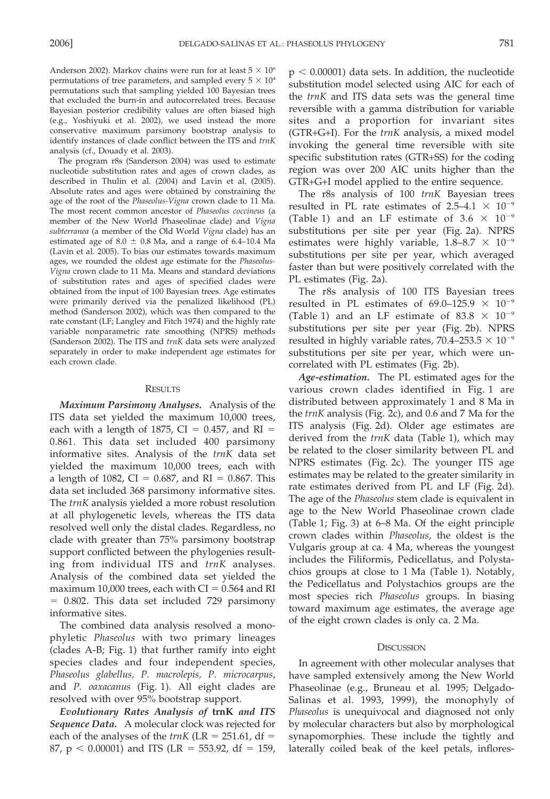Anderson 2002). Markov chains were run for at least  $5 \times 10^6$ permutations of tree parameters, and sampled every  $5 \times 10^4$ permutations such that sampling yielded 100 Bayesian trees that excluded the burn-in and autocorrelated trees. Because Bayesian posterior credibility values are often biased high (e.g., Yoshiyuki et al. 2002), we used instead the more conservative maximum parsimony bootstrap analysis to identify instances of clade conflict between the ITS and trnK analysis (cf., Douady et al. 2003).

The program r8s (Sanderson 2004) was used to estimate nucleotide substitution rates and ages of crown clades, as described in Thulin et al. (2004) and Lavin et al. (2005). Absolute rates and ages were obtained by constraining the age of the root of the Phaseolus-Vigna crown clade to 11 Ma. The most recent common ancestor of Phaseolus coccineus (a member of the New World Phaseolinae clade) and Vigna subterranea (a member of the Old World Vigna clade) has an estimated age of  $8.0 \pm 0.8$  Ma, and a range of 6.4–10.4 Ma (Lavin et al. 2005). To bias our estimates towards maximum ages, we rounded the oldest age estimate for the Phaseolus-Vigna crown clade to 11 Ma. Means and standard deviations of substitution rates and ages of specified clades were obtained from the input of 100 Bayesian trees. Age estimates were primarily derived via the penalized likelihood (PL) method (Sanderson 2002), which was then compared to the rate constant (LF; Langley and Fitch 1974) and the highly rate variable nonparametric rate smoothing (NPRS) methods (Sanderson 2002). The ITS and trnK data sets were analyzed separately in order to make independent age estimates for each crown clade.

#### **RESULTS**

Maximum Parsimony Analyses. Analysis of the ITS data set yielded the maximum 10,000 trees, each with a length of 1875,  $CI = 0.457$ , and  $RI =$ 0.861. This data set included 400 parsimony informative sites. Analysis of the trnK data set yielded the maximum 10,000 trees, each with a length of 1082,  $CI = 0.687$ , and  $RI = 0.867$ . This data set included 368 parsimony informative sites. The trnK analysis yielded a more robust resolution at all phylogenetic levels, whereas the ITS data resolved well only the distal clades. Regardless, no clade with greater than 75% parsimony bootstrap support conflicted between the phylogenies resulting from individual ITS and trnK analyses. Analysis of the combined data set yielded the maximum 10,000 trees, each with  $CI = 0.564$  and RI = 0.802. This data set included 729 parsimony informative sites.

The combined data analysis resolved a monophyletic Phaseolus with two primary lineages (clades A-B; Fig. 1) that further ramify into eight species clades and four independent species, Phaseolus glabellus, P. macrolepis, P. microcarpus, and P. oaxacanus (Fig. 1). All eight clades are resolved with over 95% bootstrap support.

Evolutionary Rates Analysis of trnK and ITS Sequence Data. A molecular clock was rejected for each of the analyses of the  $trnK$  (LR = 251.61, df = 87,  $p < 0.00001$ ) and ITS (LR = 553.92, df = 159,

 $p < 0.00001$ ) data sets. In addition, the nucleotide substitution model selected using AIC for each of the trnK and ITS data sets was the general time reversible with a gamma distribution for variable sites and a proportion for invariant sites (GTR+G+I). For the trnK analysis, a mixed model invoking the general time reversible with site specific substitution rates (GTR+SS) for the coding region was over 200 AIC units higher than the GTR+G+I model applied to the entire sequence.

The r8s analysis of 100 trnK Bayesian trees resulted in PL rate estimates of  $2.5-4.1 \times 10^{-9}$ (Table 1) and an LF estimate of 3.6  $\times$  10<sup>-9</sup> substitutions per site per year (Fig. 2a). NPRS estimates were highly variable,  $1.8-8.7 \times 10^{-9}$ substitutions per site per year, which averaged faster than but were positively correlated with the PL estimates (Fig. 2a).

The r8s analysis of 100 ITS Bayesian trees resulted in PL estimates of 69.0-125.9  $\times$  10<sup>-9</sup> (Table 1) and an LF estimate of 83.8  $\times$  10<sup>-9</sup> substitutions per site per year (Fig. 2b). NPRS resulted in highly variable rates, 70.4–253.5  $\times$  10<sup>-9</sup> substitutions per site per year, which were uncorrelated with PL estimates (Fig. 2b).

Age-estimation. The PL estimated ages for the various crown clades identified in Fig. 1 are distributed between approximately 1 and 8 Ma in the trnK analysis (Fig. 2c), and 0.6 and 7 Ma for the ITS analysis (Fig. 2d). Older age estimates are derived from the trnK data (Table 1), which may be related to the closer similarity between PL and NPRS estimates (Fig. 2c). The younger ITS age estimates may be related to the greater similarity in rate estimates derived from PL and LF (Fig. 2d). The age of the Phaseolus stem clade is equivalent in age to the New World Phaseolinae crown clade (Table 1; Fig. 3) at 6–8 Ma. Of the eight principle crown clades within Phaseolus, the oldest is the Vulgaris group at ca. 4 Ma, whereas the youngest includes the Filiformis, Pedicellatus, and Polystachios groups at close to 1 Ma (Table 1). Notably, the Pedicellatus and Polystachios groups are the most species rich Phaseolus groups. In biasing toward maximum age estimates, the average age of the eight crown clades is only ca. 2 Ma.

### **DISCUSSION**

In agreement with other molecular analyses that have sampled extensively among the New World Phaseolinae (e.g., Bruneau et al. 1995; Delgado-Salinas et al. 1993, 1999), the monophyly of Phaseolus is unequivocal and diagnosed not only by molecular characters but also by morphological synapomorphies. These include the tightly and laterally coiled beak of the keel petals, inflores-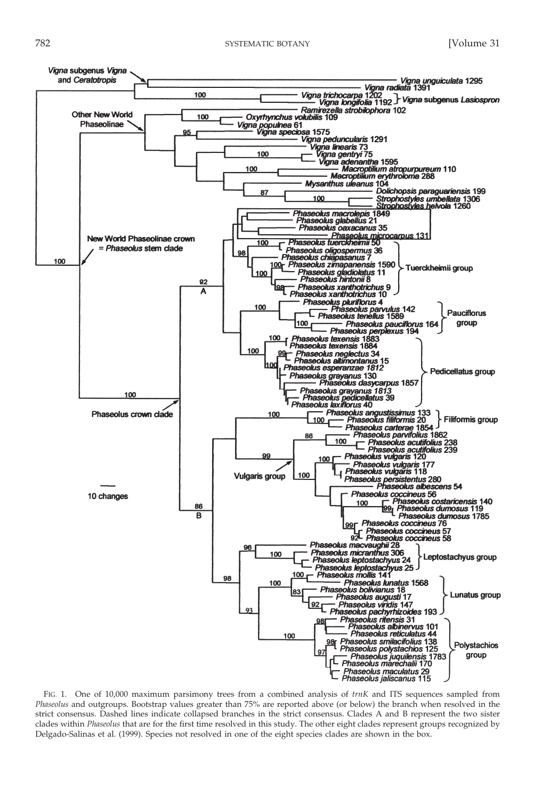

FIG. 1. One of 10,000 maximum parsimony trees from a combined analysis of trnK and ITS sequences sampled from Phaseolus and outgroups. Bootstrap values greater than 75% are reported above (or below) the branch when resolved in the strict consensus. Dashed lines indicate collapsed branches in the strict consensus. Clades A and B represent the two sister clades within Phaseolus that are for the first time resolved in this study. The other eight clades represent groups recognized by Delgado-Salinas et al. (1999). Species not resolved in one of the eight species clades are shown in the box.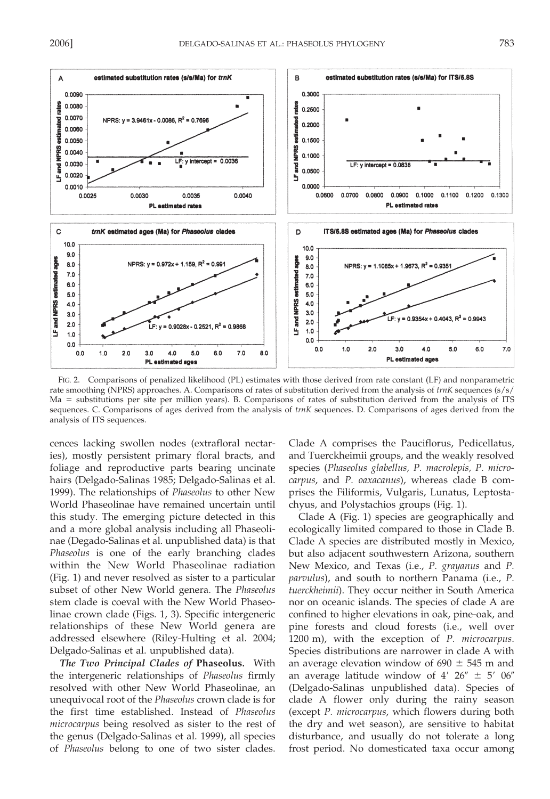

FIG. 2. Comparisons of penalized likelihood (PL) estimates with those derived from rate constant (LF) and nonparametric rate smoothing (NPRS) approaches. A. Comparisons of rates of substitution derived from the analysis of trnK sequences (s/s/ Ma = substitutions per site per million years). B. Comparisons of rates of substitution derived from the analysis of ITS sequences. C. Comparisons of ages derived from the analysis of trnK sequences. D. Comparisons of ages derived from the analysis of ITS sequences.

cences lacking swollen nodes (extrafloral nectaries), mostly persistent primary floral bracts, and foliage and reproductive parts bearing uncinate hairs (Delgado-Salinas 1985; Delgado-Salinas et al. 1999). The relationships of Phaseolus to other New World Phaseolinae have remained uncertain until this study. The emerging picture detected in this and a more global analysis including all Phaseolinae (Degado-Salinas et al. unpublished data) is that Phaseolus is one of the early branching clades within the New World Phaseolinae radiation (Fig. 1) and never resolved as sister to a particular subset of other New World genera. The Phaseolus stem clade is coeval with the New World Phaseolinae crown clade (Figs. 1, 3). Specific intergeneric relationships of these New World genera are addressed elsewhere (Riley-Hulting et al. 2004; Delgado-Salinas et al. unpublished data).

The Two Principal Clades of Phaseolus. With the intergeneric relationships of Phaseolus firmly resolved with other New World Phaseolinae, an unequivocal root of the Phaseolus crown clade is for the first time established. Instead of Phaseolus *microcarpus* being resolved as sister to the rest of the genus (Delgado-Salinas et al. 1999), all species of Phaseolus belong to one of two sister clades.

Clade A comprises the Pauciflorus, Pedicellatus, and Tuerckheimii groups, and the weakly resolved species (Phaseolus glabellus, P. macrolepis, P. microcarpus, and P. oaxacanus), whereas clade B comprises the Filiformis, Vulgaris, Lunatus, Leptostachyus, and Polystachios groups (Fig. 1).

Clade A (Fig. 1) species are geographically and ecologically limited compared to those in Clade B. Clade A species are distributed mostly in Mexico, but also adjacent southwestern Arizona, southern New Mexico, and Texas (i.e., P. grayanus and P. *parvulus*), and south to northern Panama (i.e., P. tuerckheimii). They occur neither in South America nor on oceanic islands. The species of clade A are confined to higher elevations in oak, pine-oak, and pine forests and cloud forests (i.e., well over 1200 m), with the exception of P. microcarpus. Species distributions are narrower in clade A with an average elevation window of  $690 \pm 545$  m and an average latitude window of 4'  $26'' \pm 5'$  06" (Delgado-Salinas unpublished data). Species of clade A flower only during the rainy season (except P. microcarpus, which flowers during both the dry and wet season), are sensitive to habitat disturbance, and usually do not tolerate a long frost period. No domesticated taxa occur among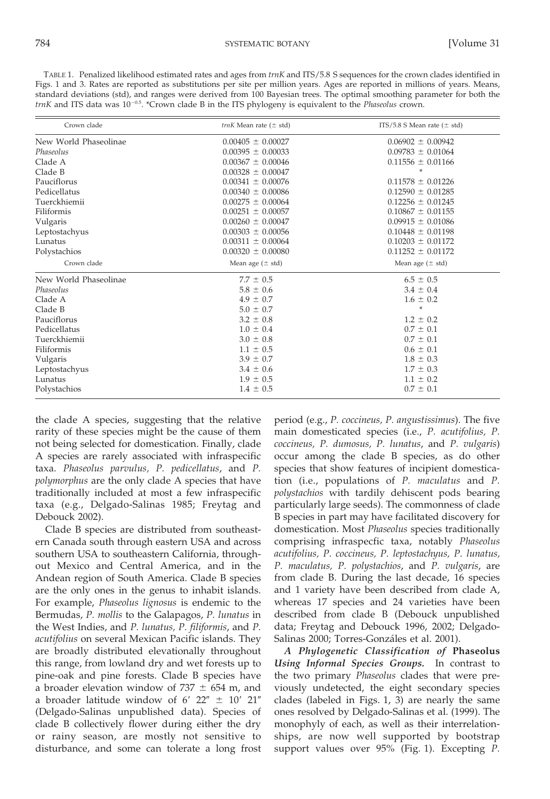TABLE 1. Penalized likelihood estimated rates and ages from trnK and ITS/5.8 S sequences for the crown clades identified in Figs. 1 and 3. Rates are reported as substitutions per site per million years. Ages are reported in millions of years. Means, standard deviations (std), and ranges were derived from 100 Bayesian trees. The optimal smoothing parameter for both the  $trnK$  and ITS data was  $10^{-0.5}$ . \*Crown clade B in the ITS phylogeny is equivalent to the *Phaseolus* crown.

| Crown clade           | <i>trnK</i> Mean rate $(\pm$ std) | ITS/5.8 S Mean rate $(\pm \text{ std})$ |
|-----------------------|-----------------------------------|-----------------------------------------|
| New World Phaseolinae | $0.00405 \pm 0.00027$             | $0.06902 \pm 0.00942$                   |
| Phaseolus             | $0.00395 \pm 0.00033$             | $0.09783 \pm 0.01064$                   |
| Clade A               | $0.00367 \pm 0.00046$             | $0.11556 \pm 0.01166$                   |
| Clade B               | $0.00328 \pm 0.00047$             | $\ast$                                  |
| Pauciflorus           | $0.00341 \pm 0.00076$             | $0.11578 \pm 0.01226$                   |
| Pedicellatus          | $0.00340 \pm 0.00086$             | $0.12590 \pm 0.01285$                   |
| Tuerckhiemii          | $0.00275 \pm 0.00064$             | $0.12256 \pm 0.01245$                   |
| Filiformis            | $0.00251 \pm 0.00057$             | $0.10867 \pm 0.01155$                   |
| Vulgaris              | $0.00260 \pm 0.00047$             | $0.09915 \pm 0.01086$                   |
| Leptostachyus         | $0.00303 \pm 0.00056$             | $0.10448 \pm 0.01198$                   |
| Lunatus               | $0.00311 \pm 0.00064$             | $0.10203 \pm 0.01172$                   |
| Polystachios          | $0.00320 \pm 0.00080$             | $0.11252 \pm 0.01172$                   |
| Crown clade           | Mean age $(± std)$                | Mean age $(\pm$ std)                    |
| New World Phaseolinae | $7.7 \pm 0.5$                     | $6.5 \pm 0.5$                           |
| Phaseolus             | $5.8 \pm 0.6$                     | $3.4 \pm 0.4$                           |
| Clade A               | $4.9 \pm 0.7$                     | $1.6 \pm 0.2$                           |
| Clade B               | $5.0 \pm 0.7$                     | $\ast$                                  |
| Pauciflorus           | $3.2 \pm 0.8$                     | $1.2 \pm 0.2$                           |
| Pedicellatus          | $1.0 \pm 0.4$                     | $0.7 \pm 0.1$                           |
| Tuerckhiemii          | $3.0 \pm 0.8$                     | $0.7 \pm 0.1$                           |
| Filiformis            | $1.1 \pm 0.5$                     | $0.6 \pm 0.1$                           |
| Vulgaris              | $3.9 \pm 0.7$                     | $1.8 \pm 0.3$                           |
| Leptostachyus         | $3.4 \pm 0.6$                     | $1.7 \pm 0.3$                           |
| Lunatus               | $1.9 \pm 0.5$                     | $1.1 \pm 0.2$                           |
| Polystachios          | $1.4 \pm 0.5$                     | $0.7 \pm 0.1$                           |

the clade A species, suggesting that the relative rarity of these species might be the cause of them not being selected for domestication. Finally, clade A species are rarely associated with infraspecific taxa. Phaseolus parvulus, P. pedicellatus, and P. polymorphus are the only clade A species that have traditionally included at most a few infraspecific taxa (e.g., Delgado-Salinas 1985; Freytag and Debouck 2002).

Clade B species are distributed from southeastern Canada south through eastern USA and across southern USA to southeastern California, throughout Mexico and Central America, and in the Andean region of South America. Clade B species are the only ones in the genus to inhabit islands. For example, Phaseolus lignosus is endemic to the Bermudas, P. mollis to the Galapagos, P. lunatus in the West Indies, and P. lunatus, P. filiformis, and P. acutifolius on several Mexican Pacific islands. They are broadly distributed elevationally throughout this range, from lowland dry and wet forests up to pine-oak and pine forests. Clade B species have a broader elevation window of  $737 \pm 654$  m, and a broader latitude window of  $6'$  22"  $\pm$  10' 21" (Delgado-Salinas unpublished data). Species of clade B collectively flower during either the dry or rainy season, are mostly not sensitive to disturbance, and some can tolerate a long frost

period (e.g., P. coccineus, P. angustissimus). The five main domesticated species (i.e., P. acutifolius, P. coccineus, P. dumosus, P. lunatus, and P. vulgaris) occur among the clade B species, as do other species that show features of incipient domestication (i.e., populations of P. maculatus and P. polystachios with tardily dehiscent pods bearing particularly large seeds). The commonness of clade B species in part may have facilitated discovery for domestication. Most Phaseolus species traditionally comprising infraspecfic taxa, notably Phaseolus acutifolius, P. coccineus, P. leptostachyus, P. lunatus, P. maculatus, P. polystachios, and P. vulgaris, are from clade B. During the last decade, 16 species and 1 variety have been described from clade A, whereas 17 species and 24 varieties have been described from clade B (Debouck unpublished data; Freytag and Debouck 1996, 2002; Delgado-Salinas 2000; Torres-Gonzáles et al. 2001).

A Phylogenetic Classification of Phaseolus Using Informal Species Groups. In contrast to the two primary Phaseolus clades that were previously undetected, the eight secondary species clades (labeled in Figs. 1, 3) are nearly the same ones resolved by Delgado-Salinas et al. (1999). The monophyly of each, as well as their interrelationships, are now well supported by bootstrap support values over 95% (Fig. 1). Excepting P.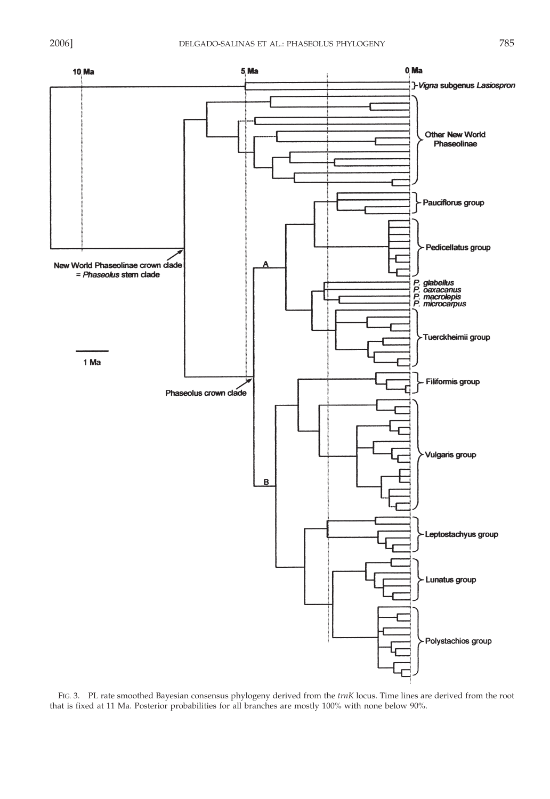

FIG. 3. PL rate smoothed Bayesian consensus phylogeny derived from the trnK locus. Time lines are derived from the root that is fixed at 11 Ma. Posterior probabilities for all branches are mostly 100% with none below 90%.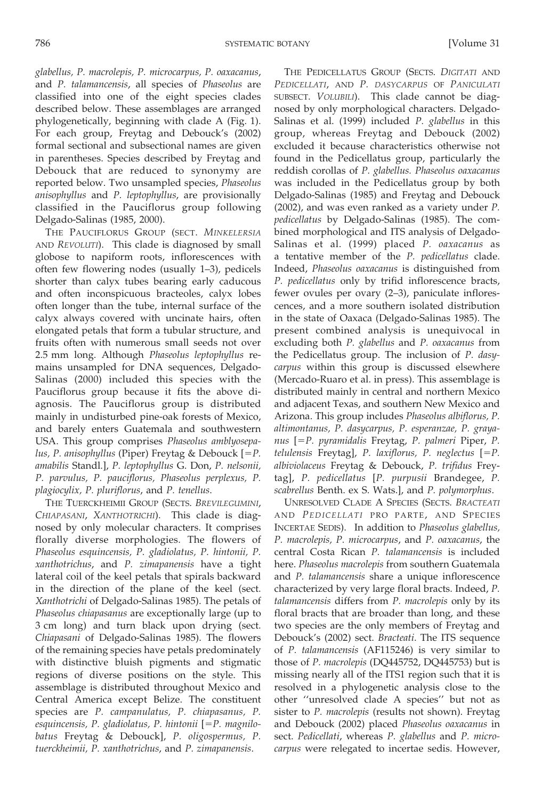glabellus, P. macrolepis, P. microcarpus, P. oaxacanus, and P. talamancensis, all species of Phaseolus are classified into one of the eight species clades described below. These assemblages are arranged phylogenetically, beginning with clade A (Fig. 1). For each group, Freytag and Debouck's (2002) formal sectional and subsectional names are given in parentheses. Species described by Freytag and Debouck that are reduced to synonymy are reported below. Two unsampled species, Phaseolus anisophyllus and P. leptophyllus, are provisionally classified in the Pauciflorus group following Delgado-Salinas (1985, 2000).

THE PAUCIFLORUS GROUP (SECT. MINKELERSIA AND REVOLUTI). This clade is diagnosed by small globose to napiform roots, inflorescences with often few flowering nodes (usually 1-3), pedicels shorter than calyx tubes bearing early caducous and often inconspicuous bracteoles, calyx lobes often longer than the tube, internal surface of the calyx always covered with uncinate hairs, often elongated petals that form a tubular structure, and fruits often with numerous small seeds not over 2.5 mm long. Although Phaseolus leptophyllus remains unsampled for DNA sequences, Delgado-Salinas (2000) included this species with the Pauciflorus group because it fits the above diagnosis. The Pauciflorus group is distributed mainly in undisturbed pine-oak forests of Mexico, and barely enters Guatemala and southwestern USA. This group comprises Phaseolus amblyosepalus, P. anisophyllus (Piper) Freytag & Debouck  $[=P]$ . amabilis Standl.], P. leptophyllus G. Don, P. nelsonii, P. parvulus, P. pauciflorus, Phaseolus perplexus, P. plagiocylix, P. pluriflorus, and P. tenellus.

THE TUERCKHEIMII GROUP (SECTS. BREVILEGUMINI, CHIAPASANI, XANTHOTRICHI). This clade is diagnosed by only molecular characters. It comprises florally diverse morphologies. The flowers of Phaseolus esquincensis, P. gladiolatus, P. hintonii, P. xanthotrichus, and P. zimapanensis have a tight lateral coil of the keel petals that spirals backward in the direction of the plane of the keel (sect. Xanthotrichi of Delgado-Salinas 1985). The petals of Phaseolus chiapasanus are exceptionally large (up to 3 cm long) and turn black upon drying (sect. Chiapasani of Delgado-Salinas 1985). The flowers of the remaining species have petals predominately with distinctive bluish pigments and stigmatic regions of diverse positions on the style. This assemblage is distributed throughout Mexico and Central America except Belize. The constituent species are P. campanulatus, P. chiapasanus, P. esquincensis, P. gladiolatus, P. hintonii  $[=P.$  magnilobatus Freytag & Debouck], P. oligospermus, P. tuerckheimii, P. xanthotrichus, and P. zimapanensis.

THE PEDICELLATUS GROUP (SECTS. DIGITATI AND PEDICELLATI, AND P. DASYCARPUS OF PANICULATI SUBSECT. VOLUBILI). This clade cannot be diagnosed by only morphological characters. Delgado-Salinas et al. (1999) included P. glabellus in this group, whereas Freytag and Debouck (2002) excluded it because characteristics otherwise not found in the Pedicellatus group, particularly the reddish corollas of P. glabellus. Phaseolus oaxacanus was included in the Pedicellatus group by both Delgado-Salinas (1985) and Freytag and Debouck  $(2002)$ , and was even ranked as a variety under  $P$ . pedicellatus by Delgado-Salinas (1985). The combined morphological and ITS analysis of Delgado-Salinas et al. (1999) placed P. oaxacanus as a tentative member of the P. pedicellatus clade. Indeed, Phaseolus oaxacanus is distinguished from P. pedicellatus only by trifid inflorescence bracts, fewer ovules per ovary (2-3), paniculate inflorescences, and a more southern isolated distribution in the state of Oaxaca (Delgado-Salinas 1985). The present combined analysis is unequivocal in excluding both P. glabellus and P. oaxacanus from the Pedicellatus group. The inclusion of P. dasycarpus within this group is discussed elsewhere (Mercado-Ruaro et al. in press). This assemblage is distributed mainly in central and northern Mexico and adjacent Texas, and southern New Mexico and Arizona. This group includes Phaseolus albiflorus, P. altimontanus, P. dasycarpus, P. esperanzae, P. grayanus [=P. pyramidalis Freytag, P. palmeri Piper, P. telulensis Freytag], P. laxiflorus, P. neglectus  $[=P$ . albiviolaceus Freytag & Debouck, P. trifidus Freytag], P. pedicellatus [P. purpusii Brandegee, P. scabrellus Benth. ex S. Wats.], and P. polymorphus.

**UNRESOLVED CLADE A SPECIES (SECTS. BRACTEATI** AND PEDICELLATI PRO PARTE, AND SPECIES INCERTAE SEDIS). In addition to Phaseolus glabellus, P. macrolepis, P. microcarpus, and P. oaxacanus, the central Costa Rican P. talamancensis is included here. Phaseolus macrolepis from southern Guatemala and P. talamancensis share a unique inflorescence characterized by very large floral bracts. Indeed, P. talamancensis differs from P. macrolepis only by its floral bracts that are broader than long, and these two species are the only members of Freytag and Debouck's (2002) sect. Bracteati. The ITS sequence of P. talamancensis (AF115246) is very similar to those of P. macrolepis (DQ445752, DQ445753) but is missing nearly all of the ITS1 region such that it is resolved in a phylogenetic analysis close to the other "unresolved clade A species" but not as sister to P. macrolepis (results not shown). Freytag and Debouck (2002) placed Phaseolus oaxacanus in sect. Pedicellati, whereas P. glabellus and P. microcarpus were relegated to incertae sedis. However,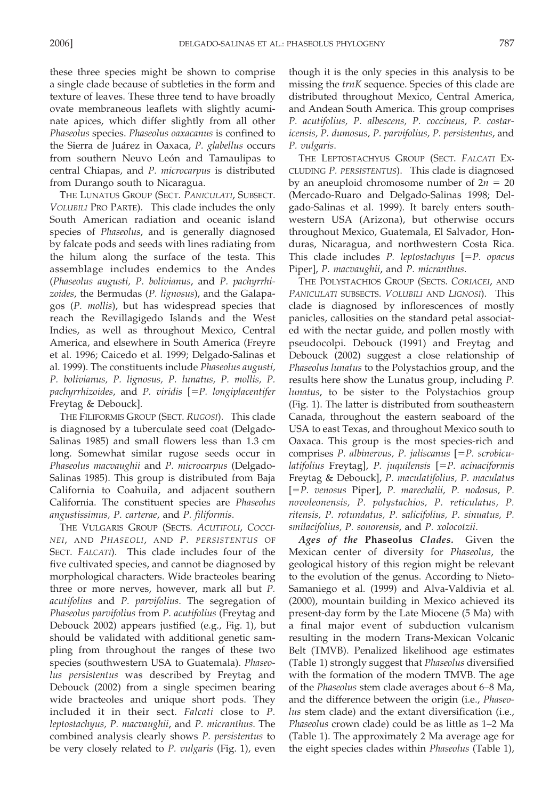these three species might be shown to comprise a single clade because of subtleties in the form and texture of leaves. These three tend to have broadly ovate membraneous leaflets with slightly acuminate apices, which differ slightly from all other Phaseolus species. Phaseolus oaxacanus is confined to the Sierra de Juárez in Oaxaca, P. glabellus occurs from southern Neuvo León and Tamaulipas to central Chiapas, and P. microcarpus is distributed from Durango south to Nicaragua.

THE LUNATUS GROUP (SECT. PANICULATI, SUBSECT. VOLUBILI PRO PARTE). This clade includes the only South American radiation and oceanic island species of Phaseolus, and is generally diagnosed by falcate pods and seeds with lines radiating from the hilum along the surface of the testa. This assemblage includes endemics to the Andes (Phaseolus augusti, P. bolivianus, and P. pachyrrhizoides, the Bermudas (P. lignosus), and the Galapagos (P. mollis), but has widespread species that reach the Revillagigedo Islands and the West Indies, as well as throughout Mexico, Central America, and elsewhere in South America (Freyre et al. 1996; Caicedo et al. 1999; Delgado-Salinas et al. 1999). The constituents include Phaseolus augusti, P. bolivianus, P. lignosus, P. lunatus, P. mollis, P. pachyrrhizoides, and P. viridis  $[=P.$  longiplacentifer Freytag & Debouck].

THE FILIFORMIS GROUP (SECT. RUGOSI). This clade is diagnosed by a tuberculate seed coat (Delgado-Salinas 1985) and small flowers less than 1.3 cm long. Somewhat similar rugose seeds occur in Phaseolus macvaughii and P. microcarpus (Delgado-Salinas 1985). This group is distributed from Baja California to Coahuila, and adjacent southern California. The constituent species are Phaseolus angustissimus, P. carterae, and P. filiformis.

THE VULGARIS GROUP (SECTS. ACUTIFOLI, COCCI-NEI, AND PHASEOLI, AND P. PERSISTENTUS OF SECT. FALCATI). This clade includes four of the five cultivated species, and cannot be diagnosed by morphological characters. Wide bracteoles bearing three or more nerves, however, mark all but P. acutifolius and P. parvifolius. The segregation of Phaseolus parvifolius from P. acutifolius (Freytag and Debouck 2002) appears justified (e.g., Fig. 1), but should be validated with additional genetic sampling from throughout the ranges of these two species (southwestern USA to Guatemala). Phaseolus persistentus was described by Freytag and Debouck (2002) from a single specimen bearing wide bracteoles and unique short pods. They included it in their sect. Falcati close to P. leptostachyus, P. macvaughii, and P. micranthus. The combined analysis clearly shows P. persistentus to be very closely related to P. vulgaris (Fig. 1), even

though it is the only species in this analysis to be missing the trnK sequence. Species of this clade are distributed throughout Mexico, Central America, and Andean South America. This group comprises P. acutifolius, P. albescens, P. coccineus, P. costaricensis, P. dumosus, P. parvifolius, P. persistentus, and P. vulgaris.

THE LEPTOSTACHYUS GROUP (SECT. FALCATI EX-CLUDING P. PERSISTENTUS). This clade is diagnosed by an aneuploid chromosome number of  $2n = 20$ (Mercado-Ruaro and Delgado-Salinas 1998; Delgado-Salinas et al. 1999). It barely enters southwestern USA (Arizona), but otherwise occurs throughout Mexico, Guatemala, El Salvador, Honduras, Nicaragua, and northwestern Costa Rica. This clade includes P. leptostachyus  $[=P]$ . opacus Piper], P. macvaughii, and P. micranthus.

THE POLYSTACHIOS GROUP (SECTS, CORIACEI, AND PANICULATI SUBSECTS. VOLUBILI AND LIGNOSI). This clade is diagnosed by inflorescences of mostly panicles, callosities on the standard petal associated with the nectar guide, and pollen mostly with pseudocolpi. Debouck (1991) and Freytag and Debouck (2002) suggest a close relationship of Phaseolus lunatus to the Polystachios group, and the results here show the Lunatus group, including P. lunatus, to be sister to the Polystachios group (Fig. 1). The latter is distributed from southeastern Canada, throughout the eastern seaboard of the USA to east Texas, and throughout Mexico south to Oaxaca. This group is the most species-rich and comprises  $P$ . albinervus,  $P$ . jaliscanus  $[=P]$ . scrobiculatifolius Freytag], P. juquilensis [=P. acinaciformis Freytag & Debouck], P. maculatifolius, P. maculatus [=P. venosus Piper], P. marechalii, P. nodosus, P. novoleonensis, P. polystachios, P. reticulatus, P. ritensis, P. rotundatus, P. salicifolius, P. sinuatus, P. smilacifolius, P. sonorensis, and P. xolocotzii.

Ages of the Phaseolus Clades. Given the Mexican center of diversity for Phaseolus, the geological history of this region might be relevant to the evolution of the genus. According to Nieto-Samaniego et al. (1999) and Alva-Valdivia et al. (2000), mountain building in Mexico achieved its present-day form by the Late Miocene (5 Ma) with a final major event of subduction vulcanism resulting in the modern Trans-Mexican Volcanic Belt (TMVB). Penalized likelihood age estimates (Table 1) strongly suggest that *Phaseolus* diversified with the formation of the modern TMVB. The age of the *Phaseolus* stem clade averages about 6–8 Ma, and the difference between the origin (i.e., Phaseolus stem clade) and the extant diversification (i.e., Phaseolus crown clade) could be as little as 1-2 Ma (Table 1). The approximately 2 Ma average age for the eight species clades within *Phaseolus* (Table 1),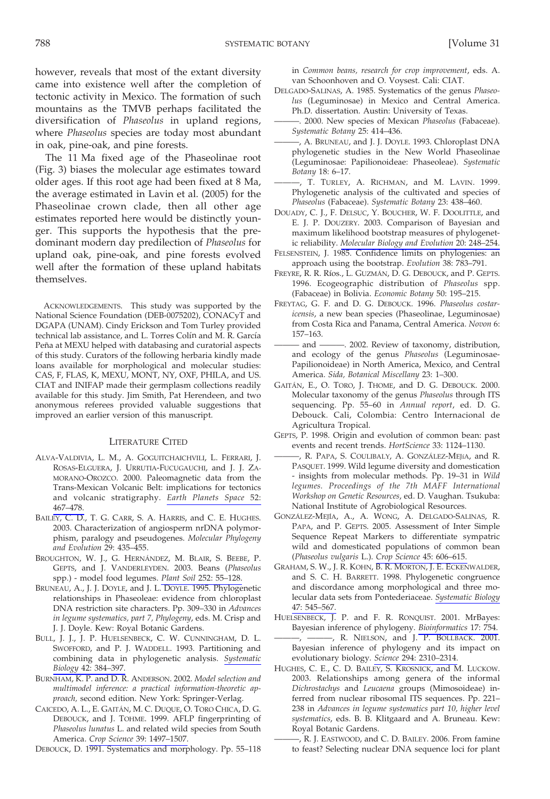SYSTEMATIC BOTANY

however, reveals that most of the extant diversity came into existence well after the completion of tectonic activity in Mexico. The formation of such mountains as the TMVB perhaps facilitated the diversification of Phaseolus in upland regions, where Phaseolus species are today most abundant in oak, pine-oak, and pine forests.

The 11 Ma fixed age of the Phaseolinae root (Fig. 3) biases the molecular age estimates toward older ages. If this root age had been fixed at 8 Ma, the average estimated in Lavin et al. (2005) for the Phaseolinae crown clade, then all other age estimates reported here would be distinctly younger. This supports the hypothesis that the predominant modern day predilection of Phaseolus for upland oak, pine-oak, and pine forests evolved well after the formation of these upland habitats themselves.

ACKNOWLEDGEMENTS. This study was supported by the National Science Foundation (DEB-0075202), CONACyT and DGAPA (UNAM). Cindy Erickson and Tom Turley provided technical lab assistance, and L. Torres Colín and M. R. García Peña at MEXU helped with databasing and curatorial aspects of this study. Curators of the following herbaria kindly made loans available for morphological and molecular studies: CAS, F, FLAS, K, MEXU, MONT, NY, OXF, PHILA, and US. CIAT and INIFAP made their germplasm collections readily available for this study. Jim Smith, Pat Herendeen, and two anonymous referees provided valuable suggestions that improved an earlier version of this manuscript.

## **LITERATURE CITED**

- ALVA-VALDIVIA, L. M., A. GOGUITCHAICHVILI, L. FERRARI, J. ROSAS-ELGUERA, J. URRUTIA-FUCUGAUCHI, and J. J. ZA-MORANO-OROZCO. 2000. Paleomagnetic data from the Trans-Mexican Volcanic Belt: implications for tectonics and volcanic stratigraphy. Earth Planets Space 52: 467-478.
- BAILEY, C. D., T. G. CARR, S. A. HARRIS, and C. E. HUGHES. 2003. Characterization of angiosperm nrDNA polymorphism, paralogy and pseudogenes. Molecular Phylogeny and Evolution 29: 435-455.
- BROUGHTON, W. J., G. HERNÁNDEZ, M. BLAIR, S. BEEBE, P. GEPTS, and J. VANDERLEYDEN. 2003. Beans (Phaseolus spp.) - model food legumes. Plant Soil 252: 55-128.
- BRUNEAU, A., J. J. DOYLE, and J. L. DOYLE. 1995. Phylogenetic relationships in Phaseoleae: evidence from chloroplast DNA restriction site characters. Pp. 309-330 in Advances in legume systematics, part 7, Phylogeny, eds. M. Crisp and J. J. Doyle. Kew: Royal Botanic Gardens.
- BULL, J. J., J. P. HUELSENBECK, C. W. CUNNINGHAM, D. L. SWOFFORD, and P. J. WADDELL. 1993. Partitioning and combining data in phylogenetic analysis. Systematic Biology 42: 384-397.
- BURNHAM, K. P. and D. R. ANDERSON. 2002. Model selection and multimodel inference: a practical information-theoretic approach, second edition. New York: Springer-Verlag.
- CAICEDO, A. L., E. GAITÁN, M. C. DUQUE, O. TORO CHICA, D. G. DEBOUCK, and J. TOHME. 1999. AFLP fingerprinting of Phaseolus lunatus L. and related wild species from South America. Crop Science 39: 1497-1507.

DEBOUCK, D. 1991. Systematics and morphology. Pp. 55-118

in Common beans, research for crop improvement, eds. A. van Schoonhoven and O. Voysest. Cali: CIAT.

- DELGADO-SALINAS, A. 1985. Systematics of the genus Phaseolus (Leguminosae) in Mexico and Central America. Ph.D. dissertation. Austin: University of Texas.
- -. 2000. New species of Mexican Phaseolus (Fabaceae). Systematic Botany 25: 414-436.
- -, A. BRUNEAU, and J. J. DOYLE. 1993. Chloroplast DNA phylogenetic studies in the New World Phaseolinae (Leguminosae: Papilionoideae: Phaseoleae). Systematic Botany 18: 6-17.
- -, T. TURLEY, A. RICHMAN, and M. LAVIN. 1999. Phylogenetic analysis of the cultivated and species of Phaseolus (Fabaceae). Systematic Botany 23: 438-460.
- DOUADY, C. J., F. DELSUC, Y. BOUCHER, W. F. DOOLITTLE, and E. J. P. DOUZERY. 2003. Comparison of Bayesian and maximum likelihood bootstrap measures of phylogenetic reliability. Molecular Biology and Evolution 20: 248-254.
- FELSENSTEIN, J. 1985. Confidence limits on phylogenies: an approach using the bootstrap. Evolution 38: 783-791.
- FREYRE, R. R. Ríos., L. GUZMÁN, D. G. DEBOUCK, and P. GEPTS. 1996. Ecogeographic distribution of Phaseolus spp. (Fabaceae) in Bolivia. Economic Botany 50: 195-215.
- FREYTAG, G. F. and D. G. DEBOUCK. 1996. Phaseolus costaricensis, a new bean species (Phaseolinae, Leguminosae) from Costa Rica and Panama, Central America. Novon 6:  $157 - 163$ .
- -. 2002. Review of taxonomy, distribution, - and – and ecology of the genus Phaseolus (Leguminosae-Papilionoideae) in North America, Mexico, and Central America. Sida, Botanical Miscellany 23: 1-300.
- GAITÁN, E., O. TORO, J. THOME, and D. G. DEBOUCK. 2000. Molecular taxonomy of the genus Phaseolus through ITS sequencing. Pp. 55-60 in Annual report, ed. D. G. Debouck. Cali, Colombia: Centro Internacional de Agricultura Tropical.
- GEPTS, P. 1998. Origin and evolution of common bean: past events and recent trends. HortScience 33: 1124-1130.
- -, R. PAPA, S. COULIBALY, A. GONZÁLEZ-MEJíA, and R. PASQUET. 1999. Wild legume diversity and domestication - insights from molecular methods. Pp. 19-31 in Wild legumes. Proceedings of the 7th MAFF International Workshop on Genetic Resources, ed. D. Vaughan. Tsukuba: National Institute of Agrobiological Resources.
- GONZÁLEZ-MEJÍA, A., A. WONG, A. DELGADO-SALINAS, R. PAPA, and P. GEPTS. 2005. Assessment of Inter Simple Sequence Repeat Markers to differentiate sympatric wild and domesticated populations of common bean (Phaseolus vulgaris L.). Crop Science 45: 606-615.
- GRAHAM, S. W., J. R. KOHN, B. R. MORTON, J. E. ECKENWALDER, and S. C. H. BARRETT. 1998. Phylogenetic congruence and discordance among morphological and three molecular data sets from Pontederiaceae. Systematic Biology 47: 545-567.
- HUELSENBECK, J. P. and F. R. RONQUIST. 2001. MrBayes: Bayesian inference of phylogeny. Bioinformatics 17: 754.
- -, ----, R. NIELSON, and J. P. BOLLBACK. 2001. Bayesian inference of phylogeny and its impact on evolutionary biology. Science 294: 2310-2314.
- HUGHES, C. E., C. D. BAILEY, S. KROSNICK, and M. LUCKOW. 2003. Relationships among genera of the informal Dichrostachys and Leucaena groups (Mimosoideae) inferred from nuclear ribosomal ITS sequences. Pp. 221-238 in Advances in legume systematics part 10, higher level systematics, eds. B. B. Klitgaard and A. Bruneau. Kew: Royal Botanic Gardens.
	- -, R. J. EASTWOOD, and C. D. BAILEY. 2006. From famine to feast? Selecting nuclear DNA sequence loci for plant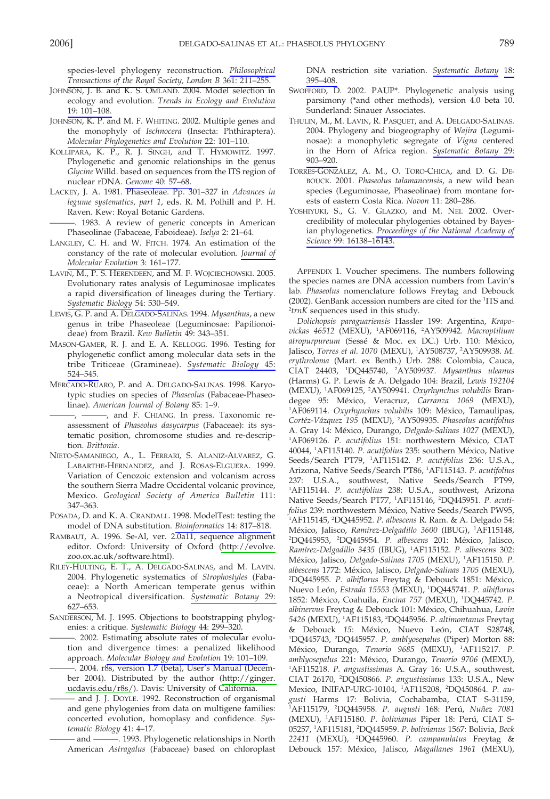species-level phylogeny reconstruction. Philosophical Transactions of the Royal Society, London B 361: 211-255.

- JOHNSON, J. B. and K. S. OMLAND. 2004. Model selection in ecology and evolution. Trends in Ecology and Evolution 19: 101-108.
- JOHNSON, K. P. and M. F. WHITING. 2002. Multiple genes and the monophyly of *Ischnocera* (Insecta: Phthiraptera). Molecular Phylogenetics and Evolution 22: 101-110.
- KOLLIPARA, K. P., R. J. SINGH, and T. HYMOWITZ. 1997. Phylogenetic and genomic relationships in the genus Glycine Willd. based on sequences from the ITS region of nuclear rDNA. Genome 40: 57-68.
- LACKEY, J. A. 1981. Phaseoleae. Pp. 301-327 in Advances in legume systematics, part 1, eds. R. M. Polhill and P. H. Raven, Kew: Royal Botanic Gardens.

-. 1983. A review of generic concepts in American Phaseolinae (Fabaceae, Faboideae). Iselya 2: 21-64.

- LANGLEY, C. H. and W. FITCH. 1974. An estimation of the constancy of the rate of molecular evolution. Journal of Molecular Evolution 3: 161-177.
- LAVIN, M., P. S. HERENDEEN, and M. F. WOJCIECHOWSKI. 2005. Evolutionary rates analysis of Leguminosae implicates a rapid diversification of lineages during the Tertiary. Systematic Biology 54: 530-549.
- LEWIS, G. P. and A. DELGADO-SALINAS. 1994. Mysanthus, a new genus in tribe Phaseoleae (Leguminosae: Papilionoideae) from Brazil. Kew Bulletin 49: 343-351.
- MASON-GAMER, R. J. and E. A. KELLOGG. 1996. Testing for phylogenetic conflict among molecular data sets in the tribe Triticeae (Gramineae). Systematic Biology 45: 524-545.
- MERCADO-RUARO, P. and A. DELGADO-SALINAS. 1998. Karyotypic studies on species of Phaseolus (Fabaceae-Phaseolinae). American Journal of Botany 85: 1-9.

-, - and F. CHIANG. In press. Taxonomic reassessment of Phaseolus dasycarpus (Fabaceae): its systematic position, chromosome studies and re-description. Brittonia.

- NIETO-SAMANIEGO, A., L. FERRARI, S. ALANIZ-ALVAREZ, G. LABARTHE-HERNANDEZ, and J. ROSAS-ELGUERA. 1999. Variation of Cenozoic extension and volcanism across the southern Sierra Madre Occidental volcanic province, Mexico. Geological Society of America Bulletin 111:  $347 - 363$
- POSADA, D. and K. A. CRANDALL. 1998. ModelTest: testing the model of DNA substitution. Bioinformatics 14: 817-818.
- RAMBAUT, A. 1996. Se-Al, ver. 2.0a11, sequence alignment editor. Oxford: University of Oxford (http://evolve. zoo.ox.ac.uk/software.html).
- RILEY-HULTING, E. T., A. DELGADO-SALINAS, and M. LAVIN. 2004. Phylogenetic systematics of Strophostyles (Fabaceae): a North American temperate genus within a Neotropical diversification. Systematic Botany 29: 627-653.
- SANDERSON, M. J. 1995. Objections to bootstrapping phylogenies: a critique. Systematic Biology 44: 299-320.

-. 2002. Estimating absolute rates of molecular evolution and divergence times: a penalized likelihood approach. Molecular Biology and Evolution 19: 101-109.

-. 2004. r8s, version 1.7 (beta), User's Manual (December 2004). Distributed by the author (http://ginger. ucdavis.edu/r8s/). Davis: University of California.

and J. J. DOYLE. 1992. Reconstruction of organismal and gene phylogenies from data on multigene families: concerted evolution, homoplasy and confidence. Systematic Biology 41: 4-17.

- and - 1993. Phylogenetic relationships in North American Astragalus (Fabaceae) based on chloroplast DNA restriction site variation. Systematic Botany 18: 395-408.

- SWOFFORD, D. 2002. PAUP\*. Phylogenetic analysis using parsimony (\*and other methods), version 4.0 beta 10. Sunderland: Sinauer Associates.
- THULIN, M., M. LAVIN, R. PASQUET, and A. DELGADO-SALINAS. 2004. Phylogeny and biogeography of Wajira (Leguminosae): a monophyletic segregate of Vigna centered in the Horn of Africa region. Systematic Botany 29:  $903 - 920$
- TORRES-GONZÁLEZ, A. M., O. TORO-CHICA, and D. G. DE-BOUCK. 2001. Phaseolus talamancensis, a new wild bean species (Leguminosae, Phaseolinae) from montane forests of eastern Costa Rica. Novon 11: 280-286.
- YOSHIYUKI, S., G. V. GLAZKO, and M. NEI. 2002. Overcredibility of molecular phylogenies obtained by Bayesian phylogenetics. Proceedings of the National Academy of Science 99: 16138-16143.

APPENDIX 1. Voucher specimens. The numbers following the species names are DNA accession numbers from Lavin's lab. Phaseolus nomenclature follows Freytag and Debouck (2002). GenBank accession numbers are cited for the <sup>1</sup>ITS and <sup>2</sup>trnK sequences used in this study.

Dolichopsis paraguariensis Hassler 199: Argentina, Krapovickas 46512 (MEXU), <sup>1</sup>AF069116, <sup>2</sup>AY509942. Macroptilium atropurpureum (Sessé & Moc. ex DC.) Urb. 110: México, Jalisco, Torres et al. 1070 (MEXU), <sup>1</sup>AY508737, <sup>2</sup>AY509938. M. erythroloma (Mart. ex Benth.) Urb. 288: Colombia, Cauca, CIAT 24403, <sup>1</sup>DO445740, <sup>2</sup>AY509937. Mysanthus uleanus (Harms) G. P. Lewis & A. Delgado 104: Brazil, Lewis 192104 (MEXU), <sup>1</sup>AF069125, <sup>2</sup>AY509941. Oxyrhynchus volubilis Brandegee 95: México, Veracruz, Carranza 1069 (MEXU), <sup>1</sup>AF069114. Oxyrhynchus volubilis 109: México, Tamaulipas, Cortéz-Vázquez 195 (MEXU), <sup>2</sup>AY509935. Phaseolus acutifolius A. Gray 14: México, Durango, Delgado-Salinas 1027 (MEXU), <sup>1</sup>AF069126. P. acutifolius 151: northwestern México, CIAT 40044, <sup>1</sup>AF115140. P. acutifolius 235: southern México, Native Seeds/Search PT79, <sup>1</sup>AF115142. P. acutifolius 236: U.S.A., Arizona, Native Seeds/Search PT86, <sup>1</sup>AF115143. P. acutifolius 237: U.S.A., southwest, Native Seeds/Search PT99, <sup>1</sup>AF115144. P. acutifolius 238: U.S.A., southwest, Arizona Native Seeds/Search PT77, 1AF115146, 2DQ445951. P. acutifolius 239: northwestern México, Native Seeds/Search PW95, 'AF115145, <sup>2</sup>DQ445952. P. albescens R. Ram. & A. Delgado 54: México, Jalisco, Ramírez-Delgadillo 3600 (IBUG), <sup>1</sup>AF115148, <sup>2</sup>DQ445953, <sup>2</sup>DQ445954. P. albescens 201: México, Jalisco, Ramírez-Delgadillo 3435 (IBUG), <sup>1</sup>AF115152. P. albescens 302: México, Jalisco, Delgado-Salinas 1705 (MEXU), <sup>1</sup>AF115150. P. albescens 1772: México, Jalisco, Delgado-Salinas 1705 (MEXU), <sup>2</sup>DQ445955. P. albiflorus Freytag & Debouck 1851: México, Nuevo León, Estrada 15553 (MEXU), <sup>1</sup>DQ445741. P. albiflorus 1852: México, Coahuila, Encina 757 (MEXU), <sup>1</sup>DQ445742. P. albinervus Freytag & Debouck 101: México, Chihuahua, Lavin 5426 (MEXU), <sup>1</sup>AF115183, <sup>2</sup>DO445956. P. altimontanus Freytag & Debouck 15: México, Nuevo León, CIAT S28748, <sup>1</sup>DQ445743, <sup>2</sup>DQ445957. P. amblyosepalus (Piper) Morton 88: México, Durango, Tenorio 9685 (MEXU), <sup>1</sup>AF115217. P. amblyosepalus 221: México, Durango, Tenorio 9706 (MEXU), <sup>1</sup>AF115218. P. angustissimus A. Gray 16: U.S.A., southwest, CIAT 26170, <sup>2</sup>DQ450866. P. angustissimus 133: U.S.A., New Mexico, INIFAP-URG-10104, <sup>1</sup>AF115208, <sup>2</sup>DQ450864. P. augusti Harms 17: Bolivia, Cochabamba, CIAT S-31159,<br>'AF115179, 'DQ445958. P. augusti 168: Perú, Nuñez 7081 (MEXU), <sup>1</sup>AF115180. P. bolivianus Piper 18: Perú, CIAT S-05257, <sup>1</sup>AF115181, <sup>2</sup>DQ445959. P. bolivianus 1567: Bolivia, Beck 22411 (MEXU), <sup>2</sup>DQ445960. P. campanulatus Freytag & Debouck 157: México, Jalisco, Magallanes 1961 (MEXU),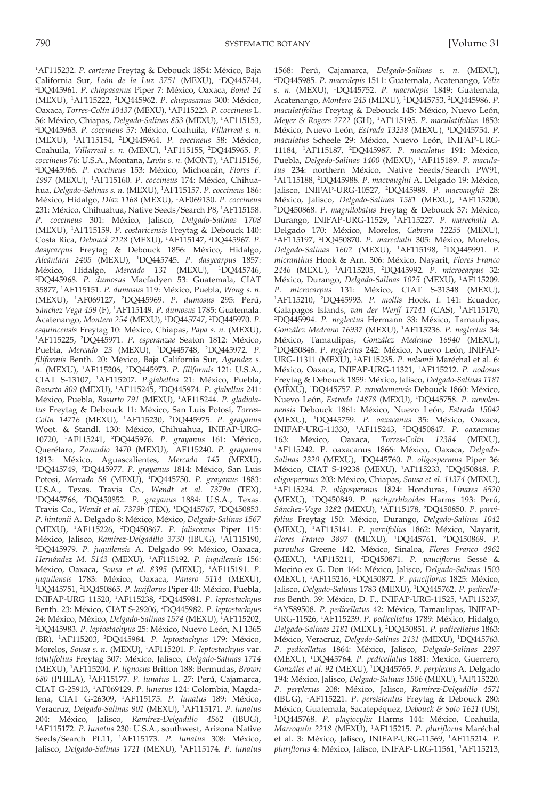California Sur, León de la Luz 3751 (MEXU), <sup>1</sup>DQ445744, <sup>2</sup>DO445961. P. chiapasanus Piper 7: México, Oaxaca, Bonet 24 (MEXU), <sup>1</sup>AF115222, <sup>2</sup>DO445962. P. chiapasanus 300: México, Oaxaca, Torres-Colín 10437 (MEXU), <sup>1</sup>AF115223. P. coccineus L. 56: México, Chiapas, Delgado-Salinas 853 (MEXU), <sup>1</sup>AF115153, <sup>2</sup>DO445963. P. coccineus 57: México, Coahuila, Villarreal s. n. (MEXU), <sup>1</sup>AF115154, <sup>2</sup>DO445964. P. coccineus 58: México, Coahuila, Villarreal s. n. (MEXU), <sup>1</sup>AF115155, <sup>2</sup>DQ445965. P. coccineus 76: U.S.A., Montana, Lavin s. n. (MONT), <sup>1</sup>AF115156, <sup>2</sup>DQ445966. P. coccineus 153: México, Michoacán, Flores F. 4997 (MEXU), <sup>1</sup>AF115160. P. coccineus 174: México, Chihuahua, Delgado-Salinas s. n. (MEXU), <sup>1</sup>AF115157. P. coccineus 186: México, Hidalgo, Díaz 1168 (MEXU), <sup>1</sup>AF069130. P. coccineus 231: México, Chihuahua, Native Seeds/Search P8, <sup>1</sup>AF115158. P. coccineus 301: México, Jalisco, Delgado-Salinas 1708 (MEXU), <sup>1</sup>AF115159. P. costaricensis Freytag & Debouck 140: Costa Rica, Debouck 2128 (MEXU), <sup>1</sup>AF115147, <sup>2</sup>DQ445967. P. dasycarpus Freytag & Debouck 1856: México, Hidalgo, Alcántara 2405 (MEXU), <sup>1</sup>DQ445745. P. dasycarpus 1857: México, Hidalgo, Mercado 131 (MEXU), <sup>1</sup>DQ445746, <sup>2</sup>DQ445968. P. dumosus Macfadyen 53: Guatemala, CIAT 35877, <sup>1</sup>AF115151. P. dumosus 119: México, Puebla, Wong s. n. (MEXU), <sup>1</sup>AF069127, <sup>2</sup>DQ445969. P. dumosus 295: Perú, Sánchez Vega 459 (F), <sup>1</sup>AF115149. *P. dumosus* 1785: Guatemala. Acatenango, Montero 254 (MEXU), <sup>1</sup>DQ445747, <sup>2</sup>DQ445970. P. esquincensis Freytag 10: México, Chiapas, Papa s. n. (MEXU), <sup>1</sup>AF115225, <sup>2</sup>DQ445971. P. esperanzae Seaton 1812: México, Puebla, Mercado 23 (MEXU), <sup>1</sup>DO445748, <sup>2</sup>DO445972. P. filiformis Benth. 20: México, Baja California Sur, Agundez s. n. (MEXU), <sup>1</sup>AF115206, <sup>2</sup>DQ445973. P. filiformis 121: U.S.A., CIAT S-13107, <sup>1</sup>AF115207. P.glabellus 21: México, Puebla, Basurto 809 (MEXU), <sup>1</sup>AF115245, <sup>2</sup>DQ445974. P. glabellus 241: México, Puebla, Basurto 791 (MEXU), <sup>1</sup>AF115244. P. gladiolatus Freytag & Debouck 11: México, San Luis Potosí, Torres-Colín 14716 (MEXU), <sup>1</sup>AF115230, <sup>2</sup>DQ445975. P. grayanus Woot. & Standl. 130: México, Chihuahua, INIFAP-URG-10720, <sup>1</sup>AF115241, <sup>2</sup>DQ445976. P. grayanus 161: México, Querétaro, Zamudio 3470 (MEXU), <sup>1</sup>AF115240. P. grayanus 1813: México, Aguascalientes, Mercado 145 (MEXU), <sup>1</sup>DQ445749, <sup>2</sup>DQ445977. P. grayanus 1814: México, San Luis Potosi, Mercado 58 (MEXU), <sup>1</sup>DQ445750. P. grayanus 1883: U.S.A., Texas. Travis Co., Wendt et al. 7379a (TEX), <sup>1</sup>DQ445766, <sup>2</sup>DQ450852. P. grayanus 1884: U.S.A., Texas. Travis Co., Wendt et al. 7379b (TEX), <sup>1</sup>DQ445767, <sup>2</sup>DQ450853. P. hintonii A. Delgado 8: México, México, Delgado-Salinas 1567 (MEXU), <sup>1</sup>AF115226, <sup>2</sup>DQ450867. P. jaliscanus Piper 115: México, Jalisco, Ramírez-Delgadillo 3730 (IBUG), <sup>1</sup>AF115190, <sup>2</sup>DQ445979. P. juquilensis A. Delgado 99: México, Oaxaca, Hernández M. 5143 (MEXU), <sup>1</sup>AF115192. P. juquilensis 156: México, Oaxaca, Sousa et al. 8395 (MEXU), <sup>1</sup>AF115191. P. juquilensis 1783: México, Oaxaca, Panero 5114 (MEXU), <sup>1</sup>DQ445751, <sup>2</sup>DQ450865. P. laxiflorus Piper 40: México, Puebla, INIFAP-URG 11520, <sup>1</sup>AF115238, <sup>2</sup>DQ445981. P. leptostachyus Benth. 23: México, CIAT S-29206, <sup>2</sup>DQ445982. P. leptostachyus 24: México, México, Delgado-Salinas 1574 (MEXU), <sup>1</sup>AF115202, <sup>2</sup>DQ445983. P. leptostachyus 25: México, Nuevo León, NI 1365 (BR), <sup>1</sup>AF115203, <sup>2</sup>DQ445984. P. leptostachyus 179: México, Morelos, Sousa s. n. (MEXU), <sup>1</sup>AF115201. P. leptostachyus var. lobatifolius Freytag 307: México, Jalisco, Delgado-Salinas 1714 (MEXU), <sup>1</sup>AF115204. P. lignosus Britton 188: Bermudas, Brown 680 (PHILA), <sup>1</sup>AF115177. P. lunatus L. 27: Perú, Cajamarca, CIAT G-25913, <sup>1</sup>AF069129. P. lunatus 124: Colombia, Magdalena, CIAT G-26309, <sup>1</sup>AF115175. P. lunatus 189: México, Veracruz, Delgado-Salinas 901 (MEXU), <sup>1</sup>AF115171. P. lunatus 204: México, Jalisco, Ramírez-Delgadillo 4562 (IBUG), <sup>1</sup>AF115172. P. lunatus 230: U.S.A., southwest, Arizona Native Seeds/Search PL11, <sup>1</sup>AF115173. P. lunatus 308: México,

Jalisco, Delgado-Salinas 1721 (MEXU), <sup>1</sup>AF115174. P. lunatus

<sup>1</sup>AF115232. P. carterae Freytag & Debouck 1854: México, Baja

1568: Perú, Cajamarca, Delgado-Salinas s. n. (MEXU), <sup>2</sup>DO445985. P. macrolepis 1511: Guatemala, Acatenango, Véliz s. n. (MEXU), <sup>1</sup>DO445752. P. macrolepis 1849: Guatemala, Acatenango, Montero 245 (MEXU), <sup>1</sup>DO445753, <sup>2</sup>DO445986. P. maculatifolius Freytag & Debouck 145: México, Nuevo León, Meyer & Rogers 2722 (GH), <sup>1</sup>AF115195. P. maculatifolius 1853: México, Nuevo León, Estrada 13238 (MEXU), <sup>1</sup>DO445754. P. maculatus Scheele 29: México, Nuevo León, INIFAP-URG-11184, <sup>1</sup>AF115187, <sup>2</sup>DQ445987. P. maculatus 191: México, Puebla, Delgado-Salinas 1400 (MEXU), <sup>1</sup>AF115189. P. maculatus 234: northern México, Native Seeds/Search PW91, <sup>1</sup>AF115188, <sup>2</sup>DQ445988. P. macvaughii A. Delgado 19: México, Jalisco, INIFAP-URG-10527, <sup>2</sup>DQ445989. P. macvaughii 28: México, Jalisco, Delgado-Salinas 1581 (MEXU), <sup>1</sup>AF115200, <sup>2</sup>DQ450868. P. magnilobatus Freytag & Debouck 37: México, Durango, INIFAP-URG-11529, <sup>1</sup>AF115227. P. marechalii A. Delgado 170: México, Morelos, Cabrera 12255 (MEXU), <sup>1</sup>AF115197, <sup>2</sup>DQ450870. P. marechalii 305: México, Morelos, Delgado-Salinas 1602 (MEXU), <sup>1</sup>AF115198, <sup>2</sup>DQ445991. P. micranthus Hook & Arn. 306: México, Navarit, Flores Franco 2446 (MEXU), <sup>1</sup>AF115205, <sup>2</sup>DQ445992. P. microcarpus 32: México, Durango, Delgado-Salinas 1025 (MEXU), <sup>1</sup>AF115209. P. microcarpus 131: México, CIAT S-31348 (MEXU), <sup>1</sup>AF115210, <sup>2</sup>DQ445993. P. mollis Hook. f. 141: Ecuador, Galapagos Islands, van der Werff 17141 (CAS), <sup>1</sup>AF115170, <sup>2</sup>DQ445994. P. neglectus Hermann 33: México, Tamaulipas, González Medrano 16937 (MEXU), <sup>1</sup>AF115236. P. neglectus 34: México, Tamaulipas, González Medrano 16940 (MEXU), <sup>2</sup>DO450846. P. neglectus 242: México, Nuevo León, INIFAP-URG-11311 (MEXU), <sup>1</sup>AF115235. P. nelsonii Maréchal et al. 6: México, Oaxaca, INIFAP-URG-11321, <sup>1</sup>AF115212. P. nodosus Freytag & Debouck 1859: México, Jalisco, Delgado-Salinas 1181 (MEXU), <sup>1</sup>DQ445757. P. novoleonensis Debouck 1860: México, Nuevo León, Estrada 14878 (MEXU), <sup>1</sup>DQ445758. P. novoleonensis Debouck 1861: México, Nuevo León, Estrada 15042 (MEXU), <sup>1</sup>DQ445759. P. oaxacanus 35: México, Oaxaca, INIFAP-URG-11330, <sup>1</sup>AF115243, <sup>2</sup>DQ450847. P. oaxacanus 163: México, Oaxaca, Torres-Colín 12384 (MEXU), <sup>1</sup>AF115242. P. oaxacanus 1866: México, Oaxaca, Delgado-Salinas 2320 (MEXU), <sup>1</sup>DQ445760. P. oligospermus Piper 36: México, CIAT S-19238 (MEXU), <sup>1</sup>AF115233, <sup>2</sup>DQ450848. P. oligospermus 203: México, Chiapas, Sousa et al. 11374 (MEXU), <sup>1</sup>AF115234. P. oligospermus 1824: Honduras, Linares 6520 (MEXU), <sup>2</sup>DQ450849. P. pachyrrhizoides Harms 193: Perú, Sánchez-Vega 3282 (MEXU), <sup>1</sup>AF115178, <sup>2</sup>DQ450850. P. parvifolius Freytag 150: México, Durango, Delgado-Salinas 1042 (MEXU), <sup>1</sup>AF115141. P. parvifolius 1862: México, Nayarit, Flores Franco 3897 (MEXU), <sup>1</sup>DQ445761, <sup>2</sup>DQ450869. P. parvulus Greene 142, México, Sinaloa, Flores Franco 4962 (MEXU), <sup>1</sup>AF115211, <sup>2</sup>DQ450871. P. pauciflorus Sessé & Mociño ex G. Don 164: México, Jalisco, Delgado-Salinas 1503 (MEXU), <sup>1</sup>AF115216, <sup>2</sup>DQ450872. P. pauciflorus 1825: México, Jalisco, Delgado-Salinas 1783 (MEXU), <sup>1</sup>DQ445762. P. pedicellatus Benth. 39: México, D. F., INIFAP-URG-11525, <sup>1</sup>AF115237, <sup>2</sup>AY589508. P. pedicellatus 42: México, Tamaulipas, INIFAP-URG-11526, <sup>1</sup>AF115239. P. pedicellatus 1789: México, Hidalgo, Delgado-Salinas 2181 (MEXU), <sup>2</sup>DQ450851. P. pedicellatus 1863: México, Veracruz, Delgado-Salinas 2131 (MEXU), <sup>1</sup>DQ445763. P. pedicellatus 1864: México, Jalisco, Delgado-Salinas 2297 (MEXU), <sup>1</sup>DQ445764. P. pedicellatus 1881: Mexico, Guerrero, Gonzáles et al. 92 (MEXU), <sup>1</sup>DQ445765. P. perplexus A. Delgado 194: México, Jalisco, Delgado-Salinas 1506 (MEXU), <sup>1</sup>AF115220. P. perplexus 208: México, Jalisco, Ramírez-Delgadillo 4571 (IBUG), <sup>1</sup>AF115221. P. persistentus Freytag & Debouck 280: México, Guatemala, Sacatepéquez, Debouck & Soto 1621 (US), <sup>1</sup>DQ445768. P. plagiocylix Harms 144: México, Coahuila, Marroquín 2218 (MEXU), <sup>1</sup>AF115215. P. pluriflorus Maréchal et al. 3: México, Jalisco, INIFAP-URG-11569, <sup>1</sup>AF115214. P. pluriflorus 4: México, Jalisco, INIFAP-URG-11561, 1AF115213,